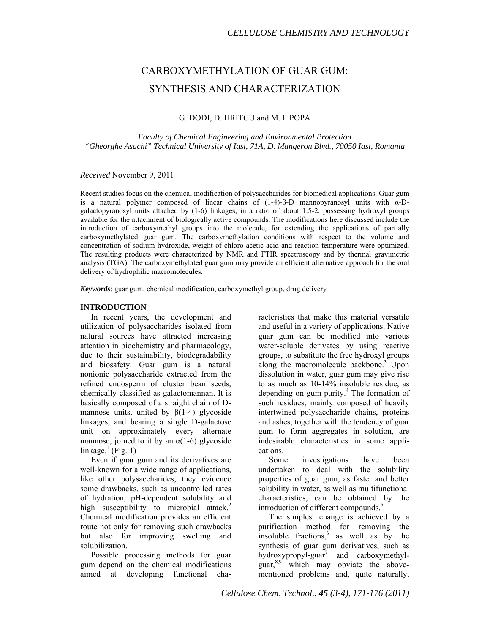# CARBOXYMETHYLATION OF GUAR GUM: SYNTHESIS AND CHARACTERIZATION

# G. DODI, D. HRITCU and M. I. POPA

*Faculty of Chemical Engineering and Environmental Protection "Gheorghe Asachi" Technical University of Iasi, 71A, D. Mangeron Blvd., 70050 Iasi, Romania* 

*Received* November 9, 2011

Recent studies focus on the chemical modification of polysaccharides for biomedical applications. Guar gum is a natural polymer composed of linear chains of  $(1-4)-\beta$ -D mannopyranosyl units with  $\alpha$ -Dgalactopyranosyl units attached by (1-6) linkages, in a ratio of about 1.5-2, possessing hydroxyl groups available for the attachment of biologically active compounds. The modifications here discussed include the introduction of carboxymethyl groups into the molecule, for extending the applications of partially carboxymethylated guar gum. The carboxymethylation conditions with respect to the volume and concentration of sodium hydroxide, weight of chloro-acetic acid and reaction temperature were optimized. The resulting products were characterized by NMR and FTIR spectroscopy and by thermal gravimetric analysis (TGA). The carboxymethylated guar gum may provide an efficient alternative approach for the oral delivery of hydrophilic macromolecules.

*Keywords*: guar gum, chemical modification, carboxymethyl group, drug delivery

#### **INTRODUCTION**

In recent years, the development and utilization of polysaccharides isolated from natural sources have attracted increasing attention in biochemistry and pharmacology, due to their sustainability, biodegradability and biosafety. Guar gum is a natural nonionic polysaccharide extracted from the refined endosperm of cluster bean seeds, chemically classified as galactomannan. It is basically composed of a straight chain of Dmannose units, united by  $\beta(1-4)$  glycoside linkages, and bearing a single D-galactose unit on approximately every alternate mannose, joined to it by an  $\alpha(1-6)$  glycoside linkage.<sup>1</sup> (Fig. 1)

Even if guar gum and its derivatives are well-known for a wide range of applications, like other polysaccharides, they evidence some drawbacks, such as uncontrolled rates of hydration, pH-dependent solubility and high susceptibility to microbial attack.<sup>2</sup> Chemical modification provides an efficient route not only for removing such drawbacks but also for improving swelling and solubilization.

Possible processing methods for guar gum depend on the chemical modifications aimed at developing functional characteristics that make this material versatile and useful in a variety of applications. Native guar gum can be modified into various water-soluble derivates by using reactive groups, to substitute the free hydroxyl groups along the macromolecule backbone.<sup>3</sup> Upon dissolution in water, guar gum may give rise to as much as 10-14% insoluble residue, as depending on gum purity.<sup>4</sup> The formation of such residues, mainly composed of heavily intertwined polysaccharide chains, proteins and ashes, together with the tendency of guar gum to form aggregates in solution, are indesirable characteristics in some applications.

Some investigations have been undertaken to deal with the solubility properties of guar gum, as faster and better solubility in water, as well as multifunctional characteristics, can be obtained by the introduction of different compounds.<sup>5</sup>

The simplest change is achieved by a purification method for removing the insoluble fractions,  $6$  as well as by the synthesis of guar gum derivatives, such as hydroxypropyl-guar7 and carboxymethylguar, $8.9$  which may obviate the abovementioned problems and, quite naturally,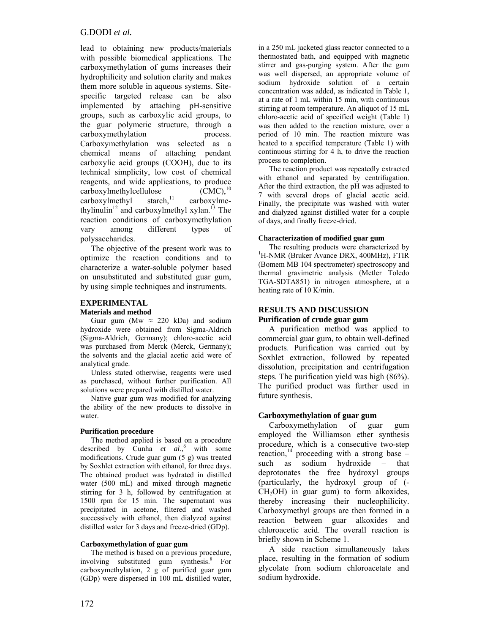## G.DODI *et al.*

lead to obtaining new products/materials with possible biomedical applications. The carboxymethylation of gums increases their hydrophilicity and solution clarity and makes them more soluble in aqueous systems. Sitespecific targeted release can be also implemented by attaching pH-sensitive groups, such as carboxylic acid groups, to the guar polymeric structure, through a carboxymethylation process. Carboxymethylation was selected as a chemical means of attaching pendant carboxylic acid groups (COOH), due to its technical simplicity, low cost of chemical reagents, and wide applications, to produce  $\text{carboxylmethylcellulose} \qquad (\text{CMC})$ ,<sup>10</sup><br>carboxylmethyl starch.<sup>11</sup> carboxylme $carboxvlmethyl$  starch, $^{11}$  carboxylmethylinulin<sup>12</sup> and carboxylmethyl xylan.<sup>13</sup> The reaction conditions of carboxymethylation vary among different types of polysaccharides.

The objective of the present work was to optimize the reaction conditions and to characterize a water-soluble polymer based on unsubstituted and substituted guar gum, by using simple techniques and instruments.

#### **EXPERIMENTAL**

#### **Materials and method**

Guar gum (Mw  $\approx$  220 kDa) and sodium hydroxide were obtained from Sigma-Aldrich (Sigma-Aldrich, Germany); chloro-acetic acid was purchased from Merck (Merck, Germany); the solvents and the glacial acetic acid were of analytical grade.

Unless stated otherwise, reagents were used as purchased, without further purification. All solutions were prepared with distilled water.

Native guar gum was modified for analyzing the ability of the new products to dissolve in water.

#### **Purification procedure**

The method applied is based on a procedure described by Cunha  $et \ al.^6$  with some modifications. Crude guar gum (5 g) was treated by Soxhlet extraction with ethanol, for three days. The obtained product was hydrated in distilled water (500 mL) and mixed through magnetic stirring for 3 h, followed by centrifugation at 1500 rpm for 15 min. The supernatant was precipitated in acetone, filtered and washed successively with ethanol, then dialyzed against distilled water for 3 days and freeze-dried (GDp).

#### **Carboxymethylation of guar gum**

The method is based on a previous procedure, involving substituted gum synthesis.<sup>8</sup> For carboxymethylation, 2 g of purified guar gum (GDp) were dispersed in 100 mL distilled water,

in a 250 mL jacketed glass reactor connected to a thermostated bath, and equipped with magnetic stirrer and gas-purging system. After the gum was well dispersed, an appropriate volume of sodium hydroxide solution of a certain concentration was added, as indicated in Table 1, at a rate of 1 mL within 15 min, with continuous stirring at room temperature. An aliquot of 15 mL chloro-acetic acid of specified weight (Table 1) was then added to the reaction mixture, over a period of 10 min. The reaction mixture was heated to a specified temperature (Table 1) with continuous stirring for 4 h, to drive the reaction process to completion.

The reaction product was repeatedly extracted with ethanol and separated by centrifugation. After the third extraction, the pH was adjusted to 7 with several drops of glacial acetic acid. Finally, the precipitate was washed with water and dialyzed against distilled water for a couple of days, and finally freeze-dried.

#### **Characterization of modified guar gum**

The resulting products were characterized by <sup>1</sup>H-NMR (Bruker Avance DRX, 400MHz), FTIR (Bomem MB 104 spectrometer) spectroscopy and thermal gravimetric analysis (Metler Toledo TGA-SDTA851) in nitrogen atmosphere, at a heating rate of 10 K/min.

#### **RESULTS AND DISCUSSION Purification of crude guar gum**

A purification method was applied to commercial guar gum, to obtain well-defined products. Purification was carried out by Soxhlet extraction, followed by repeated dissolution, precipitation and centrifugation steps. The purification yield was high (86%). The purified product was further used in future synthesis.

#### **Carboxymethylation of guar gum**

Carboxymethylation of guar gum employed the Williamson ether synthesis procedure, which is a consecutive two-step reaction,<sup>14</sup> proceeding with a strong base  $$ such as sodium hydroxide – that deprotonates the free hydroxyl groups (particularly, the hydroxyl group of (-  $CH<sub>2</sub>OH$ ) in guar gum) to form alkoxides, thereby increasing their nucleophilicity. Carboxymethyl groups are then formed in a reaction between guar alkoxides and chloroacetic acid. The overall reaction is briefly shown in Scheme 1.

A side reaction simultaneously takes place, resulting in the formation of sodium glycolate from sodium chloroacetate and sodium hydroxide.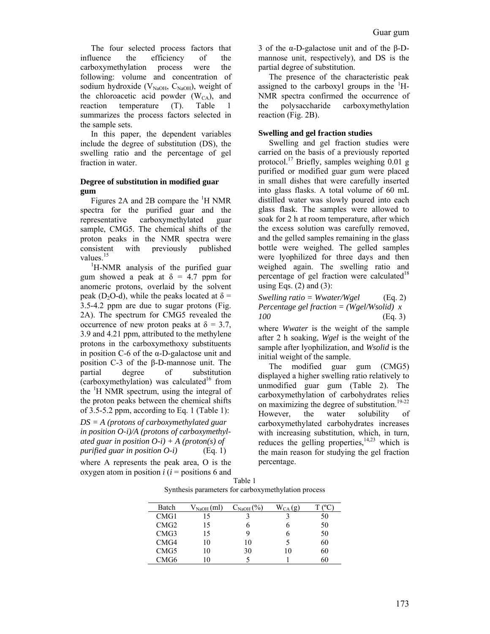The four selected process factors that influence the efficiency of the carboxymethylation process were the following: volume and concentration of sodium hydroxide ( $V_{\text{NaOH}}$ ,  $C_{\text{NaOH}}$ ), weight of the chloroacetic acid powder  $(W<sub>CA</sub>)$ , and reaction temperature (T). Table 1 summarizes the process factors selected in the sample sets.

In this paper, the dependent variables include the degree of substitution (DS), the swelling ratio and the percentage of gel fraction in water.

#### **Degree of substitution in modified guar gum**

Figures 2A and 2B compare the  ${}^{1}H$  NMR spectra for the purified guar and the representative carboxymethylated guar sample, CMG5. The chemical shifts of the proton peaks in the NMR spectra were consistent with previously published values.<sup>15</sup>

<sup>1</sup>H-NMR analysis of the purified guar gum showed a peak at  $\delta = 4.7$  ppm for anomeric protons, overlaid by the solvent peak (D<sub>2</sub>O-d), while the peaks located at  $\delta$  = 3.5-4.2 ppm are due to sugar protons (Fig. 2A). The spectrum for CMG5 revealed the occurrence of new proton peaks at  $\delta = 3.7$ , 3.9 and 4.21 ppm, attributed to the methylene protons in the carboxymethoxy substituents in position C-6 of the α-D-galactose unit and position C-3 of the β-D-mannose unit. The partial degree of substitution (carboxymethylation) was calculated<sup>16</sup> from the <sup>1</sup>H NMR spectrum, using the integral of the proton peaks between the chemical shifts of 3.5-5.2 ppm, according to Eq. 1 (Table 1):

*DS = A (protons of carboxymethylated guar in position O-i)/A (protons of carboxymethylated guar in position O-i) + A (proton(s) of purified guar in position O-i)* (Eq. 1)

where A represents the peak area, O is the oxygen atom in position  $i$  ( $i$  = positions 6 and  $T_{\rm T}$  11 1

3 of the α-D-galactose unit and of the β-Dmannose unit, respectively), and DS is the partial degree of substitution.

The presence of the characteristic peak assigned to the carboxyl groups in the  ${}^{1}H$ -NMR spectra confirmed the occurrence of the polysaccharide carboxymethylation reaction (Fig. 2B).

### **Swelling and gel fraction studies**

Swelling and gel fraction studies were carried on the basis of a previously reported protocol.<sup>17</sup> Briefly, samples weighing 0.01 g purified or modified guar gum were placed in small dishes that were carefully inserted into glass flasks. A total volume of 60 mL distilled water was slowly poured into each glass flask. The samples were allowed to soak for 2 h at room temperature, after which the excess solution was carefully removed, and the gelled samples remaining in the glass bottle were weighed. The gelled samples were lyophilized for three days and then weighed again. The swelling ratio and percentage of gel fraction were calculated<sup>18</sup> using Eqs.  $(2)$  and  $(3)$ :

*Swelling ratio = Wwater/Wgel* (Eq. 2) *Percentage gel fraction = (Wgel/Wsolid) x 100* (Eq. 3)

where *Wwater* is the weight of the sample after 2 h soaking, *Wgel* is the weight of the sample after lyophilization, and *Wsolid* is the initial weight of the sample.

The modified guar gum (CMG5) displayed a higher swelling ratio relatively to unmodified guar gum (Table 2). The carboxymethylation of carbohydrates relies on maximizing the degree of substitution.<sup>19-22</sup> However, the water solubility of carboxymethylated carbohydrates increases with increasing substitution, which, in turn, reduces the gelling properties, $14,23$  which is the main reason for studying the gel fraction percentage.

|                                                     | table t |  |  |
|-----------------------------------------------------|---------|--|--|
| Synthesis parameters for carboxymethylation process |         |  |  |

| Batch            | $\rm V_{NaOH}(ml)$ | $\mathcal{C}_{\mathrm{NaOH}}(\%)$ | $W_{CA}(g)$ | 70 |
|------------------|--------------------|-----------------------------------|-------------|----|
| CMG1             |                    |                                   |             | 50 |
| CMG2             | 15                 |                                   |             | 50 |
| CMG <sub>3</sub> | 15                 |                                   |             | 50 |
| CMG4             | 10                 | 10                                |             | 60 |
| CMG <sub>5</sub> |                    | 30                                | 10          | 60 |
| CMG6             |                    |                                   |             | 50 |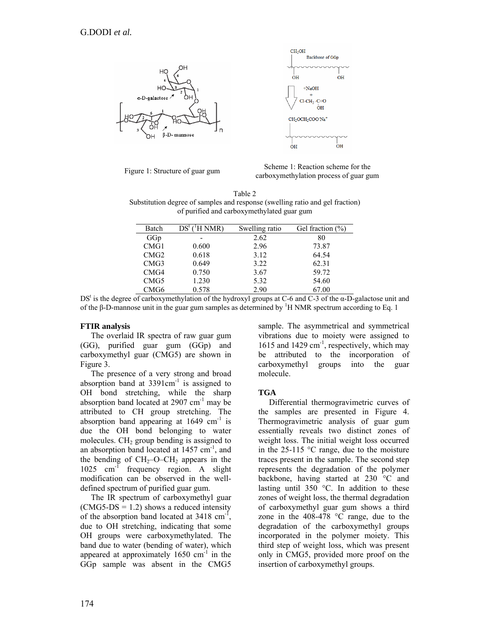

Figure 1: Structure of guar gum Scheme 1: Reaction scheme for the carboxymethylation process of guar gum

Table 2 Substitution degree of samples and response (swelling ratio and gel fraction) of purified and carboxymethylated guar gum

| Batch | $\mathrm{H}$ NMR)<br>$DS^{\tau}$ | Swelling ratio | Gel fraction $(\% )$ |
|-------|----------------------------------|----------------|----------------------|
| GGp   | -                                | 2.62           | 80                   |
| CMG1  | 0.600                            | 2.96           | 73.87                |
| CMG2  | 0.618                            | 3.12           | 64.54                |
| CMG3  | 0.649                            | 3.22           | 62.31                |
| CMG4  | 0.750                            | 3.67           | 59.72                |
| CMG5  | 1.230                            | 5.32           | 54.60                |
| CMG6  | 0.578                            | 2.90           | 67.00                |

 $DS<sup>t</sup>$  is the degree of carboxymethylation of the hydroxyl groups at C-6 and C-3 of the  $\alpha$ -D-galactose unit and of the β-D-mannose unit in the guar gum samples as determined by <sup>1</sup>H NMR spectrum according to Eq. 1

# **FTIR analysis**

The overlaid IR spectra of raw guar gum (GG), purified guar gum (GGp) and carboxymethyl guar (CMG5) are shown in Figure 3.

The presence of a very strong and broad absorption band at  $3391 \text{cm}^{-1}$  is assigned to OH bond stretching, while the sharp absorption band located at  $2907 \text{ cm}^{-1}$  may be attributed to CH group stretching. The absorption band appearing at  $1649 \text{ cm}^{-1}$  is due the OH bond belonging to water molecules.  $CH<sub>2</sub>$  group bending is assigned to an absorption band located at  $1457 \text{ cm}^{-1}$ , and the bending of  $CH_2-O-CH_2$  appears in the 1025 cm<sup>-1</sup> frequency region. A slight frequency region. A slight modification can be observed in the welldefined spectrum of purified guar gum.

The IR spectrum of carboxymethyl guar  $(CMG5-DS = 1.2)$  shows a reduced intensity of the absorption band located at  $3418 \text{ cm}^{-1}$ , due to OH stretching, indicating that some OH groups were carboxymethylated. The band due to water (bending of water), which appeared at approximately  $1650 \text{ cm}^{-1}$  in the GGp sample was absent in the CMG5

sample. The asymmetrical and symmetrical vibrations due to moiety were assigned to 1615 and 1429  $cm^{-1}$ , respectively, which may be attributed to the incorporation of carboxymethyl groups into the guar molecule.

# **TGA**

Differential thermogravimetric curves of the samples are presented in Figure 4. Thermogravimetric analysis of guar gum essentially reveals two distinct zones of weight loss. The initial weight loss occurred in the 25-115 °C range, due to the moisture traces present in the sample. The second step represents the degradation of the polymer backbone, having started at 230 °C and lasting until 350 °C. In addition to these zones of weight loss, the thermal degradation of carboxymethyl guar gum shows a third zone in the 408-478 °C range, due to the degradation of the carboxymethyl groups incorporated in the polymer moiety. This third step of weight loss, which was present only in CMG5, provided more proof on the insertion of carboxymethyl groups.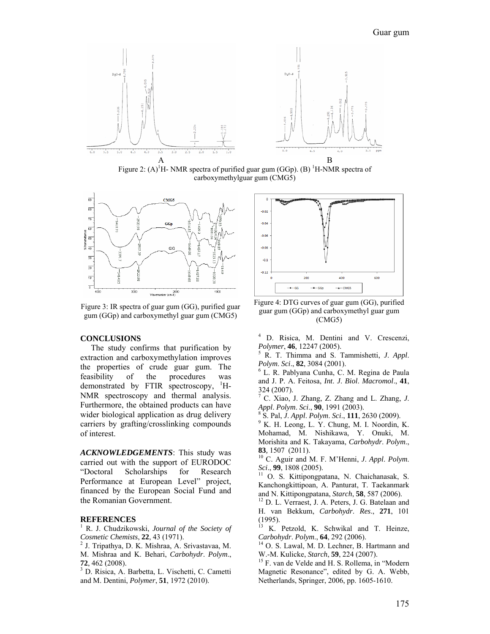

Figure 2:  $(A)^{1}H$ - NMR spectra of purified guar gum (GGp). (B) <sup>1</sup>H-NMR spectra of carboxymethylguar gum (CMG5)



Figure 3: IR spectra of guar gum (GG), purified guar gum (GGp) and carboxymethyl guar gum (CMG5)

#### **CONCLUSIONS**

The study confirms that purification by extraction and carboxymethylation improves the properties of crude guar gum. The feasibility of the procedures was demonstrated by FTIR spectroscopy, <sup>1</sup>H-NMR spectroscopy and thermal analysis. Furthermore, the obtained products can have wider biological application as drug delivery carriers by grafting/crosslinking compounds of interest.

*ACKNOWLEDGEMENTS*: This study was carried out with the support of EURODOC "Doctoral Scholarships for Research Performance at European Level" project, financed by the European Social Fund and the Romanian Government.

#### **REFERENCES**

<sup>1</sup> R. J. Chudzikowski, *Journal of the Society of Cosmetic Chemists*, **22**, 43 (1971). 2 J. Tripathya, D. K. Mishraa, A. Srivastavaa, M.

M. Mishraa and K. Behari, *Carbohydr*. *Polym*., **<sup>72</sup>**, 462 (2008). 3

 D. Risica, A. Barbetta, L. Vischetti, C. Cametti and M. Dentini, *Polymer*, **51**, 1972 (2010).



Figure 4: DTG curves of guar gum (GG), purified guar gum (GGp) and carboxymethyl guar gum (CMG5)

4 D. Risica, M. Dentini and V. Crescenzi, *Polymer*, **46**, 12247 (2005).

 R. T. Thimma and S. Tammishetti, *J*. *Appl*. *Polym. Sci.*, **82**, 3084 (2001).

 L. R. Pablyana Cunha, C. M. Regina de Paula and J. P. A. Feitosa, *Int*. *J*. *Biol*. *Macromol*., **41**, 324 (2007).

7 C. Xiao, J. Zhang, Z. Zhang and L. Zhang, *J*. *Appl. Polym. Sci.*, 90, 1991 (2003).

S. Pal, *J. Appl. Polym. Sci.*, **111**, 2630 (2009).

<sup>9</sup> K. H. Leong, L. Y. Chung, M. I. Noordin, K. Mohamad, M. Nishikawa, Y. Onuki, M. Morishita and K. Takayama, *Carbohydr*. *Polym*.,

**83***,* 1507 (2011).<br><sup>10</sup> C. Aguir and M. F. M'Henni, *J. Appl. Polym.*<br>*Sci.*, **99**, 1808 (2005).

<sup>11</sup> O. S. Kittipongpatana, N. Chaichanasak, S. Kanchongkittipoan, A. Panturat, T. Taekanmark and N. Kittipongpatana, *Starch*, **58**, 587 (2006). 12 D. L. Verraest, J. A. Peters, J. G. Batelaan and

H. van Bekkum, *Carbohydr*. *Res*., **271**, 101 (1995).

<sup>13</sup> K. Petzold, K. Schwikal and T. Heinze, *Carbohydr*. *Polym*., **64**, 292 (2006). 14 O. S. Lawal, M. D. Lechner, B. Hartmann and

W.-M. Kulicke, *Starch*, **59**, 224 (2007).<br><sup>15</sup> F. van de Velde and H. S. Rollema, in "Modern Magnetic Resonance", edited by G. A. Webb, Netherlands, Springer, 2006, pp. 1605-1610.